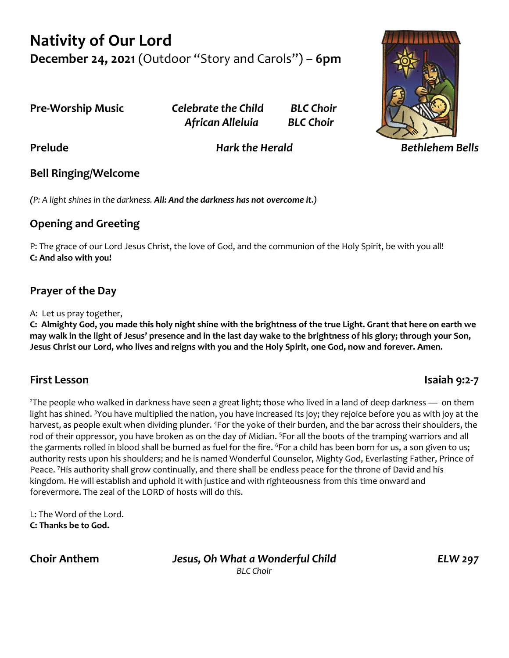# **Nativity of Our Lord December 24, 2021** (Outdoor "Story and Carols") – **6pm**

**Pre-Worship Music** *Celebrate the Child BLC Choir African Alleluia BLC Choir*



**Prelude** *Hark the Herald Bethlehem Bells*

## **Bell Ringing/Welcome**

*(P: A light shines in the darkness. All: And the darkness has not overcome it.)*

## **Opening and Greeting**

P: The grace of our Lord Jesus Christ, the love of God, and the communion of the Holy Spirit, be with you all! **C: And also with you!**

## **Prayer of the Day**

A: Let us pray together,

**C: Almighty God, you made this holy night shine with the brightness of the true Light. Grant that here on earth we may walk in the light of Jesus' presence and in the last day wake to the brightness of his glory; through your Son, Jesus Christ our Lord, who lives and reigns with you and the Holy Spirit, one God, now and forever. Amen.**

## **First Lesson Isaiah 9:2-7**

 $2$ The people who walked in darkness have seen a great light; those who lived in a land of deep darkness — on them light has shined. <sup>3</sup>You have multiplied the nation, you have increased its joy; they rejoice before you as with joy at the harvest, as people exult when dividing plunder. <sup>4</sup>For the yoke of their burden, and the bar across their shoulders, the rod of their oppressor, you have broken as on the day of Midian. <sup>5</sup>For all the boots of the tramping warriors and all the garments rolled in blood shall be burned as fuel for the fire. <sup>6</sup>For a child has been born for us, a son given to us; authority rests upon his shoulders; and he is named Wonderful Counselor, Mighty God, Everlasting Father, Prince of Peace. <sup>7</sup>His authority shall grow continually, and there shall be endless peace for the throne of David and his kingdom. He will establish and uphold it with justice and with righteousness from this time onward and forevermore. The zeal of the LORD of hosts will do this.

L: The Word of the Lord. **C: Thanks be to God.**

**Choir Anthem** *Jesus, Oh What a Wonderful Child ELW 297 BLC Choir*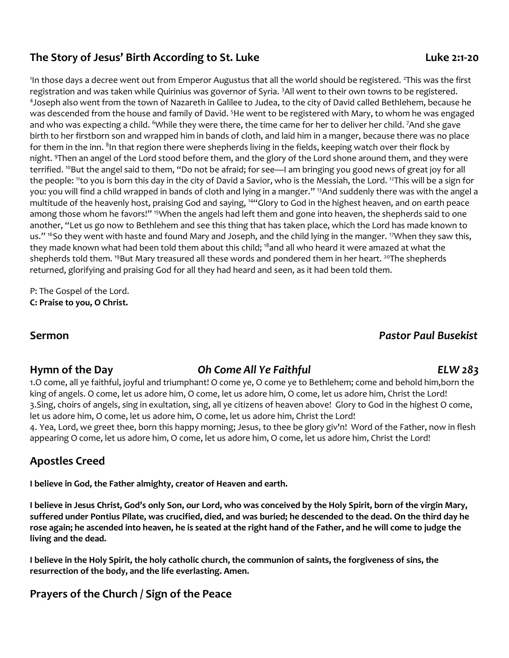#### **The Story of Jesus' Birth According to St. Luke Luke 2:1-20**

<sup>1</sup>In those days a decree went out from Emperor Augustus that all the world should be registered. <sup>2</sup>This was the first registration and was taken while Quirinius was governor of Syria. <sup>3</sup>All went to their own towns to be registered. 4 Joseph also went from the town of Nazareth in Galilee to Judea, to the city of David called Bethlehem, because he was descended from the house and family of David. <sup>5</sup>He went to be registered with Mary, to whom he was engaged and who was expecting a child. 6While they were there, the time came for her to deliver her child. 7And she gave birth to her firstborn son and wrapped him in bands of cloth, and laid him in a manger, because there was no place for them in the inn.  $^{8}$ In that region there were shepherds living in the fields, keeping watch over their flock by night. <sup>9</sup>Then an angel of the Lord stood before them, and the glory of the Lord shone around them, and they were terrified. <sup>10</sup>But the angel said to them, "Do not be afraid; for see—I am bringing you good news of great joy for all the people: "to you is born this day in the city of David a Savior, who is the Messiah, the Lord. <sup>12</sup>This will be a sign for you: you will find a child wrapped in bands of cloth and lying in a manger." <sup>13</sup>And suddenly there was with the angel a multitude of the heavenly host, praising God and saying, <sup>14</sup>"Glory to God in the highest heaven, and on earth peace among those whom he favors!" <sup>15</sup>When the angels had left them and gone into heaven, the shepherds said to one another, "Let us go now to Bethlehem and see this thing that has taken place, which the Lord has made known to us." <sup>16</sup>So they went with haste and found Mary and Joseph, and the child lying in the manger. <sup>17</sup>When they saw this, they made known what had been told them about this child; <sup>18</sup>and all who heard it were amazed at what the shepherds told them. <sup>19</sup>But Mary treasured all these words and pondered them in her heart. <sup>20</sup>The shepherds returned, glorifying and praising God for all they had heard and seen, as it had been told them.

P: The Gospel of the Lord. **C: Praise to you, O Christ.**

# **Sermon** *Pastor Paul Busekist*

#### **Hymn of the Day** *Oh Come All Ye Faithful ELW 283*

1.O come, all ye faithful, joyful and triumphant! O come ye, O come ye to Bethlehem; come and behold him,born the king of angels. O come, let us adore him, O come, let us adore him, O come, let us adore him, Christ the Lord! 3.Sing, choirs of angels, sing in exultation, sing, all ye citizens of heaven above! Glory to God in the highest O come, let us adore him, O come, let us adore him, O come, let us adore him, Christ the Lord! 4. Yea, Lord, we greet thee, born this happy morning; Jesus, to thee be glory giv'n! Word of the Father, now in flesh appearing O come, let us adore him, O come, let us adore him, O come, let us adore him, Christ the Lord!

## **Apostles Creed**

**I believe in God, the Father almighty, creator of Heaven and earth.** 

**I believe in Jesus Christ, God's only Son, our Lord, who was conceived by the Holy Spirit, born of the virgin Mary, suffered under Pontius Pilate, was crucified, died, and was buried; he descended to the dead. On the third day he rose again; he ascended into heaven, he is seated at the right hand of the Father, and he will come to judge the living and the dead.**

**I believe in the Holy Spirit, the holy catholic church, the communion of saints, the forgiveness of sins, the resurrection of the body, and the life everlasting. Amen.**

## **Prayers of the Church / Sign of the Peace**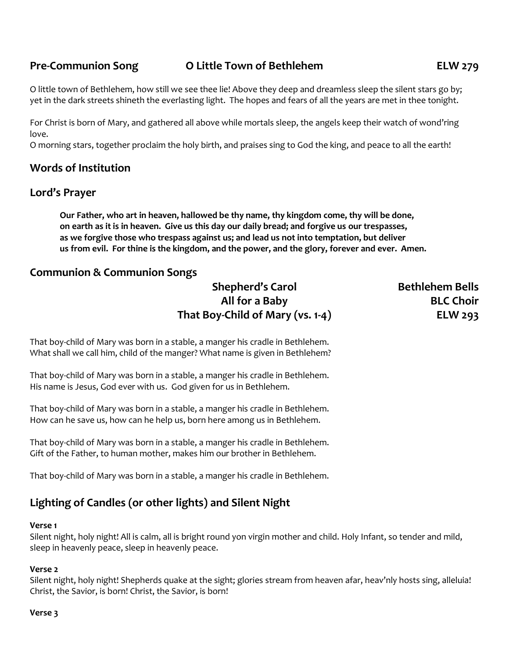#### **Pre-Communion Song O Little Town of Bethlehem ELW 279**

O little town of Bethlehem, how still we see thee lie! Above they deep and dreamless sleep the silent stars go by; yet in the dark streets shineth the everlasting light. The hopes and fears of all the years are met in thee tonight.

For Christ is born of Mary, and gathered all above while mortals sleep, the angels keep their watch of wond'ring love.

O morning stars, together proclaim the holy birth, and praises sing to God the king, and peace to all the earth!

#### **Words of Institution**

#### **Lord's Prayer**

**Our Father, who art in heaven, hallowed be thy name, thy kingdom come, thy will be done, on earth as it is in heaven. Give us this day our daily bread; and forgive us our trespasses, as we forgive those who trespass against us; and lead us not into temptation, but deliver us from evil. For thine is the kingdom, and the power, and the glory, forever and ever. Amen.**

#### **Communion & Communion Songs**

## **Shepherd's Carol Bethlehem Bells All for a Baby BLC Choir That Boy-Child of Mary (vs. 1-4) ELW 293**

That boy-child of Mary was born in a stable, a manger his cradle in Bethlehem. What shall we call him, child of the manger? What name is given in Bethlehem?

That boy-child of Mary was born in a stable, a manger his cradle in Bethlehem. His name is Jesus, God ever with us. God given for us in Bethlehem.

That boy-child of Mary was born in a stable, a manger his cradle in Bethlehem. How can he save us, how can he help us, born here among us in Bethlehem.

That boy-child of Mary was born in a stable, a manger his cradle in Bethlehem. Gift of the Father, to human mother, makes him our brother in Bethlehem.

That boy-child of Mary was born in a stable, a manger his cradle in Bethlehem.

## **Lighting of Candles (or other lights) and Silent Night**

#### **Verse 1**

Silent night, holy night! All is calm, all is bright round yon virgin mother and child. Holy Infant, so tender and mild, sleep in heavenly peace, sleep in heavenly peace.

#### **Verse 2**

Silent night, holy night! Shepherds quake at the sight; glories stream from heaven afar, heav'nly hosts sing, alleluia! Christ, the Savior, is born! Christ, the Savior, is born!